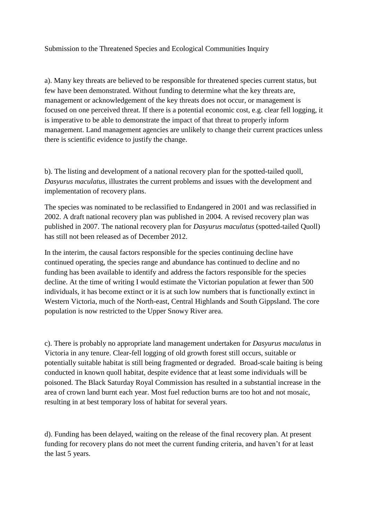Submission to the Threatened Species and Ecological Communities Inquiry

a). Many key threats are believed to be responsible for threatened species current status, but few have been demonstrated. Without funding to determine what the key threats are, management or acknowledgement of the key threats does not occur, or management is focused on one perceived threat. If there is a potential economic cost, e.g. clear fell logging, it is imperative to be able to demonstrate the impact of that threat to properly inform management. Land management agencies are unlikely to change their current practices unless there is scientific evidence to justify the change.

b). The listing and development of a national recovery plan for the spotted-tailed quoll, *Dasyurus maculatus*, illustrates the current problems and issues with the development and implementation of recovery plans.

The species was nominated to be reclassified to Endangered in 2001 and was reclassified in 2002. A draft national recovery plan was published in 2004. A revised recovery plan was published in 2007. The national recovery plan for *Dasyurus maculatus* (spotted-tailed Quoll) has still not been released as of December 2012.

In the interim, the causal factors responsible for the species continuing decline have continued operating, the species range and abundance has continued to decline and no funding has been available to identify and address the factors responsible for the species decline. At the time of writing I would estimate the Victorian population at fewer than 500 individuals, it has become extinct or it is at such low numbers that is functionally extinct in Western Victoria, much of the North-east, Central Highlands and South Gippsland. The core population is now restricted to the Upper Snowy River area.

c). There is probably no appropriate land management undertaken for *Dasyurus maculatus* in Victoria in any tenure. Clear-fell logging of old growth forest still occurs, suitable or potentially suitable habitat is still being fragmented or degraded. Broad-scale baiting is being conducted in known quoll habitat, despite evidence that at least some individuals will be poisoned. The Black Saturday Royal Commission has resulted in a substantial increase in the area of crown land burnt each year. Most fuel reduction burns are too hot and not mosaic, resulting in at best temporary loss of habitat for several years.

d). Funding has been delayed, waiting on the release of the final recovery plan. At present funding for recovery plans do not meet the current funding criteria, and haven't for at least the last 5 years.